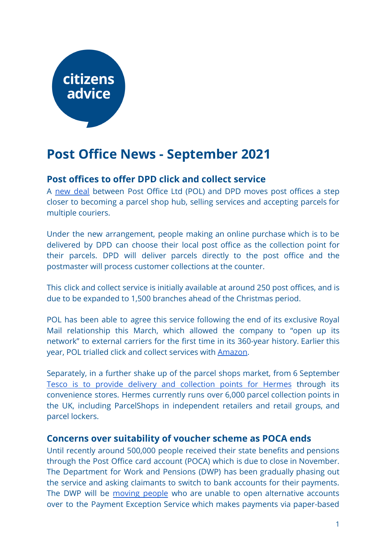# citizens advice

## **Post Office News - September 2021**

### **Post offices to offer DPD click and collect service**

A new [deal](https://corporate.postoffice.co.uk/our-media-centre#/pressreleases/post-office-partners-with-dpd-to-roll-out-click-and-collect-services-across-the-uk-3121180) between Post Office Ltd (POL) and DPD moves post offices a step closer to becoming a parcel shop hub, selling services and accepting parcels for multiple couriers.

Under the new arrangement, people making an online purchase which is to be delivered by DPD can choose their local post office as the collection point for their parcels. DPD will deliver parcels directly to the post office and the postmaster will process customer collections at the counter.

This click and collect service is initially available at around 250 post offices, and is due to be expanded to 1,500 branches ahead of the Christmas period.

POL has been able to agree this service following the end of its exclusive Royal Mail relationship this March, which allowed the company to "open up its network" to external carriers for the first time in its 360-year history. Earlier this year, POL trialled click and collect services with [Amazon](https://www.chargedretail.co.uk/2021/03/03/the-post-office-enters-landmark-click-collect-partnership-with-amazon/).

Separately, in a further shake up of the parcel shops market, from 6 September Tesco is to provide delivery and [collection](https://internetretailing.net/themes/tesco-to-play-host-to-parcelshops-across-its-convenience-store-network-in-hermes-deal-23570) points for Hermes through its convenience stores. Hermes currently runs over 6,000 parcel collection points in the UK, including ParcelShops in independent retailers and retail groups, and parcel lockers.

#### **Concerns over suitability of voucher scheme as POCA ends**

Until recently around 500,000 people received their state benefits and pensions through the Post Office card account (POCA) which is due to close in November. The Department for Work and Pensions (DWP) has been gradually phasing out the service and asking claimants to switch to bank accounts for their payments. The DWP will be [moving](https://questions-statements.parliament.uk/written-questions/detail/2021-07-20/HL2248) people who are unable to open alternative accounts over to the Payment Exception Service which makes payments via paper-based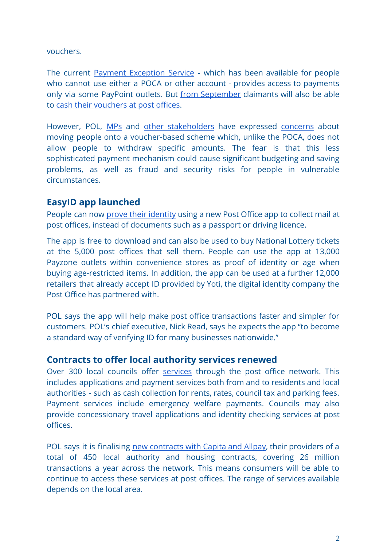vouchers.

The current Payment [Exception](https://www.gov.uk/payment-exception-service) Service - which has been available for people who cannot use either a POCA or other account - provides access to payments only via some PayPoint outlets. But from [September](https://www.express.co.uk/finance/personalfinance/1484433/DWP-update-Post-Office-card-accounts-payment-exception-service-state-pension-UK) claimants will also be able to [cash their vouchers at post offices](https://www.dailyrecord.co.uk/lifestyle/money/dwp-changes-post-office-payments-24768705).

However, POL, [MPs](https://questions-statements.parliament.uk/written-questions/detail/2021-08-18/40937) and other [stakeholders](https://inews.co.uk/opinion/universal-credit-state-pension-payment-post-office-accounts-changes-dwp-consequences-1128648) have expressed [concerns](https://www.betterretailing.com/symbol-group-wholesale/post-office/post-office-slams-dwp-decision-to-axe-po-card-accounts/) about moving people onto a voucher-based scheme which, unlike the POCA, does not allow people to withdraw specific amounts. The fear is that this less sophisticated payment mechanism could cause significant budgeting and saving problems, as well as fraud and security risks for people in vulnerable circumstances.

#### **EasyID app launched**

People can now prove their [identity](https://corporate.postoffice.co.uk/our-media-centre#/pressreleases/post-office-customers-can-now-collect-parcels-and-letters-using-a-free-app-for-easier-id-verification-3122691) using a new Post Office app to collect mail at post offices, instead of documents such as a passport or driving licence.

The app is free to download and can also be used to buy National Lottery tickets at the 5,000 post offices that sell them. People can use the app at 13,000 Payzone outlets within convenience stores as proof of identity or age when buying age-restricted items. In addition, the app can be used at a further 12,000 retailers that already accept ID provided by Yoti, the digital identity company the Post Office has partnered with.

POL says the app will help make post office transactions faster and simpler for customers. POL's chief executive, Nick Read, says he expects the app "to become a standard way of verifying ID for many businesses nationwide."

#### **Contracts to offer local authority services renewed**

Over 300 local councils offer [services](https://corporate.postoffice.co.uk/media/48108/networkreport2020_final.pdf) through the post office network. This includes applications and payment services both from and to residents and local authorities - such as cash collection for rents, rates, council tax and parking fees. Payment services include emergency welfare payments. Councils may also provide concessionary travel applications and identity checking services at post offices.

POL says it is finalising new [contracts](https://www.onepostoffice.co.uk/secure/commercial-focus/andrew-goddard-bill-payments/august-2021/) with Capita and Allpay, their providers of a total of 450 local authority and housing contracts, covering 26 million transactions a year across the network. This means consumers will be able to continue to access these services at post offices. The range of services available depends on the local area.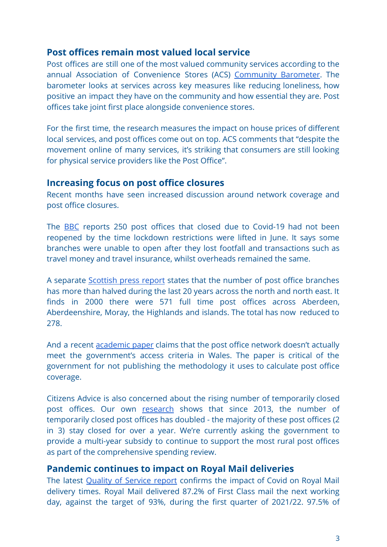#### **Post offices remain most valued local service**

Post offices are still one of the most valued community services according to the annual Association of Convenience Stores (ACS) [Community](https://www.acs.org.uk/sites/default/files/acs_community_barometer_2021.pdf) Barometer. The barometer looks at services across key measures like reducing loneliness, how positive an impact they have on the community and how essential they are. Post offices take joint first place alongside convenience stores.

For the first time, the research measures the impact on house prices of different local services, and post offices come out on top. ACS comments that "despite the movement online of many services, it's striking that consumers are still looking for physical service providers like the Post Office".

#### **Increasing focus on post office closures**

Recent months have seen increased discussion around network coverage and post office closures.

The [BBC](https://www.bbc.co.uk/news/uk-england-merseyside-58395871) reports 250 post offices that closed due to Covid-19 had not been reopened by the time lockdown restrictions were lifted in June. It says some branches were unable to open after they lost footfall and transactions such as travel money and travel insurance, whilst overheads remained the same.

A separate [Scottish](https://www.pressandjournal.co.uk/fp/news/3390385/post-office-closures-permanent-branches-halve-over-north-and-north-east-in-last-20-years/) press report states that the number of post office branches has more than halved during the last 20 years across the north and north east. It finds in 2000 there were 571 full time post offices across Aberdeen, Aberdeenshire, Moray, the Highlands and islands. The total has now reduced to 278.

And a recent [academic](https://link.springer.com/epdf/10.1007/s12061-021-09386-3?sharing_token=mCkD2FPGsi3blLgDHb3Bd_e4RwlQNchNByi7wbcMAY5mCPpUZjDFGX8ICgzdoY_J3PqcG7G5wJ4ZuhG7Jf2Nc1GTFuqqpeZNrDrJ2e6e0eSywsYBrktuboFe27YurZo3gk3mlW0me7UjTfiBFuP_YAnckP_yu7HajbS1-B7V-Hk%3D) paper claims that the post office network doesn't actually meet the government's access criteria in Wales. The paper is critical of the government for not publishing the methodology it uses to calculate post office coverage.

Citizens Advice is also concerned about the rising number of temporarily closed post offices. Our own [research](https://www.citizensadvice.org.uk/Global/CitizensAdvice/Post%20Ooffice%20Investment%20at%20Spending%20Review%202020.pdf) shows that since 2013, the number of temporarily closed post offices has doubled - the majority of these post offices (2 in 3) stay closed for over a year. We're currently asking the government to provide a multi-year subsidy to continue to support the most rural post offices as part of the comprehensive spending review.

#### **Pandemic continues to impact on Royal Mail deliveries**

The latest Quality of [Service](https://www.royalmailgroup.com/media/11552/quarterly-quality-of-service-and-complaints-report-2021-22-q1-final.pdf) report confirms the impact of Covid on Royal Mail delivery times. Royal Mail delivered 87.2% of First Class mail the next working day, against the target of 93%, during the first quarter of 2021/22. 97.5% of